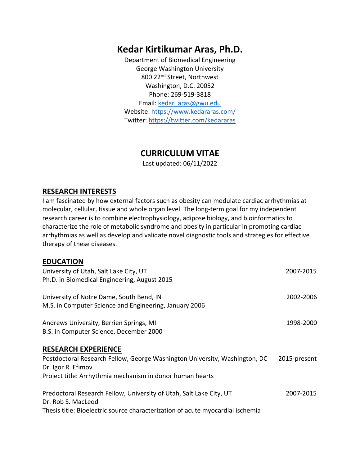# **Kedar Kirtikumar Aras, Ph.D.**

Department of Biomedical Engineering George Washington University 800 22nd Street, Northwest Washington, D.C. 20052 Phone: 269-519-3818 Email: kedar\_aras@gwu.edu Website: https://www.kedararas.com/ Twitter: https://twitter.com/kedararas

# **CURRICULUM VITAE**

Last updated: 06/11/2022

#### **RESEARCH INTERESTS**

I am fascinated by how external factors such as obesity can modulate cardiac arrhythmias at molecular, cellular, tissue and whole organ level. The long-term goal for my independent research career is to combine electrophysiology, adipose biology, and bioinformatics to characterize the role of metabolic syndrome and obesity in particular in promoting cardiac arrhythmias as well as develop and validate novel diagnostic tools and strategies for effective therapy of these diseases.

#### **EDUCATION**

| University of Utah, Salt Lake City, UT                                         | 2007-2015    |
|--------------------------------------------------------------------------------|--------------|
| Ph.D. in Biomedical Engineering, August 2015                                   |              |
| University of Notre Dame, South Bend, IN                                       | 2002-2006    |
| M.S. in Computer Science and Engineering, January 2006                         |              |
| Andrews University, Berrien Springs, MI                                        | 1998-2000    |
| B.S. in Computer Science, December 2000                                        |              |
| <b>RESEARCH EXPERIENCE</b>                                                     |              |
| Postdoctoral Research Fellow, George Washington University, Washington, DC     | 2015-present |
| Dr. Igor R. Efimov                                                             |              |
| Project title: Arrhythmia mechanism in donor human hearts                      |              |
| Predoctoral Research Fellow, University of Utah, Salt Lake City, UT            | 2007-2015    |
| Dr. Rob S. MacLeod                                                             |              |
| Thesis title: Bioelectric source characterization of acute myocardial ischemia |              |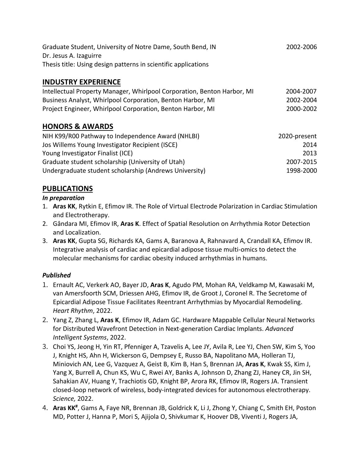| Graduate Student, University of Notre Dame, South Bend, IN     | 2002-2006 |
|----------------------------------------------------------------|-----------|
| Dr. Jesus A. Izaguirre                                         |           |
| Thesis title: Using design patterns in scientific applications |           |

## **INDUSTRY EXPERIENCE**

| Intellectual Property Manager, Whirlpool Corporation, Benton Harbor, MI | 2004-2007 |
|-------------------------------------------------------------------------|-----------|
| Business Analyst, Whirlpool Corporation, Benton Harbor, MI              | 2002-2004 |
| Project Engineer, Whirlpool Corporation, Benton Harbor, MI              | 2000-2002 |

#### **HONORS & AWARDS**

| NIH K99/R00 Pathway to Independence Award (NHLBI)      | 2020-present |
|--------------------------------------------------------|--------------|
| Jos Willems Young Investigator Recipient (ISCE)        | 2014         |
| Young Investigator Finalist (ICE)                      | 2013         |
| Graduate student scholarship (University of Utah)      | 2007-2015    |
| Undergraduate student scholarship (Andrews University) | 1998-2000    |

## **PUBLICATIONS**

#### *In preparation*

- 1. **Aras KK**, Rytkin E, Efimov IR. The Role of Virtual Electrode Polarization in Cardiac Stimulation and Electrotherapy.
- 2. Gândara MI, Efimov IR, **Aras K**. Effect of Spatial Resolution on Arrhythmia Rotor Detection and Localization.
- 3. **Aras KK**, Gupta SG, Richards KA, Gams A, Baranova A, Rahnavard A, Crandall KA, Efimov IR. Integrative analysis of cardiac and epicardial adipose tissue multi-omics to detect the molecular mechanisms for cardiac obesity induced arrhythmias in humans.

#### *Published*

- 1. Ernault AC, Verkerk AO, Bayer JD, **Aras K**, Agudo PM, Mohan RA, Veldkamp M, Kawasaki M, van Amersfoorth SCM, Driessen AHG, Efimov IR, de Groot J, Coronel R. The Secretome of Epicardial Adipose Tissue Facilitates Reentrant Arrhythmias by Myocardial Remodeling. *Heart Rhythm*, 2022.
- 2. Yang Z, Zhang L, **Aras K**, Efimov IR, Adam GC. Hardware Mappable Cellular Neural Networks for Distributed Wavefront Detection in Next-generation Cardiac Implants. *Advanced Intelligent Systems*, 2022.
- 3. Choi YS, Jeong H, Yin RT, Pfenniger A, Tzavelis A, Lee JY, Avila R, Lee YJ, Chen SW, Kim S, Yoo J, Knight HS, Ahn H, Wickerson G, Dempsey E, Russo BA, Napolitano MA, Holleran TJ, Miniovich AN, Lee G, Vazquez A, Geist B, Kim B, Han S, Brennan JA, **Aras K**, Kwak SS, Kim J, Yang X, Burrell A, Chun KS, Wu C, Rwei AY, Banks A, Johnson D, Zhang ZJ, Haney CR, Jin SH, Sahakian AV, Huang Y, Trachiotis GD, Knight BP, Arora RK, Efimov IR, Rogers JA. Transient closed-loop network of wireless, body-integrated devices for autonomous electrotherapy. *Science,* 2022.
- 4. Aras KK<sup>#</sup>, Gams A, Faye NR, Brennan JB, Goldrick K, Li J, Zhong Y, Chiang C, Smith EH, Poston MD, Potter J, Hanna P, Mori S, Ajijola O, Shivkumar K, Hoover DB, Viventi J, Rogers JA,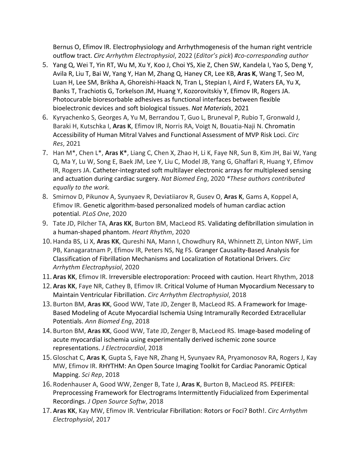Bernus O, Efimov IR. Electrophysiology and Arrhythmogenesis of the human right ventricle outflow tract. *Circ Arrhythm Electrophysiol*, 2022 (*Editor's pick*) *#co-corresponding author*

- 5. Yang Q, Wei T, Yin RT, Wu M, Xu Y, Koo J, Choi YS, Xie Z, Chen SW, Kandela I, Yao S, Deng Y, Avila R, Liu T, Bai W, Yang Y, Han M, Zhang Q, Haney CR, Lee KB, **Aras K**, Wang T, Seo M, Luan H, Lee SM, Brikha A, Ghoreishi-Haack N, Tran L, Stepian I, Aird F, Waters EA, Yu X, Banks T, Trachiotis G, Torkelson JM, Huang Y, Kozorovitskiy Y, Efimov IR, Rogers JA. Photocurable bioresorbable adhesives as functional interfaces between flexible bioelectronic devices and soft biological tissues. *Nat Materials*, 2021
- 6. Kyryachenko S, Georges A, Yu M, Berrandou T, Guo L, Bruneval P, Rubio T, Gronwald J, Baraki H, Kutschka I, **Aras K**, Efimov IR, Norris RA, Voigt N, Bouatia-Naji N. Chromatin Accessibility of Human Mitral Valves and Functional Assessment of MVP Risk Loci. *Circ Res*, 2021
- 7. Han M\*, Chen L\*, **Aras K\***, Liang C, Chen X, Zhao H, Li K, Faye NR, Sun B, Kim JH, Bai W, Yang Q, Ma Y, Lu W, Song E, Baek JM, Lee Y, Liu C, Model JB, Yang G, Ghaffari R, Huang Y, Efimov IR, Rogers JA. Catheter-integrated soft multilayer electronic arrays for multiplexed sensing and actuation during cardiac surgery. *Nat Biomed Eng*, 2020 *\*These authors contributed equally to the work.*
- 8. Smirnov D, Pikunov A, Syunyaev R, Deviatiiarov R, Gusev O, **Aras K**, Gams A, Koppel A, Efimov IR. Genetic algorithm-based personalized models of human cardiac action potential. *PLoS One*, 2020
- 9. Tate JD, Pilcher TA, **Aras KK**, Burton BM, MacLeod RS. Validating defibrillation simulation in a human-shaped phantom. *Heart Rhythm*, 2020
- 10.Handa BS, Li X, **Aras KK**, Qureshi NA, Mann I, Chowdhury RA, Whinnett ZI, Linton NWF, Lim PB, Kanagaratnam P, Efimov IR, Peters NS, Ng FS. Granger Causality-Based Analysis for Classification of Fibrillation Mechanisms and Localization of Rotational Drivers. *Circ Arrhythm Electrophysiol*, 2020
- 11. **Aras KK**, Efimov IR. Irreversible electroporation: Proceed with caution. Heart Rhythm, 2018
- 12. **Aras KK**, Faye NR, Cathey B, Efimov IR. Critical Volume of Human Myocardium Necessary to Maintain Ventricular Fibrillation. *Circ Arrhythm Electrophysiol*, 2018
- 13. Burton BM, **Aras KK**, Good WW, Tate JD, Zenger B, MacLeod RS. A Framework for Image-Based Modeling of Acute Myocardial Ischemia Using Intramurally Recorded Extracellular Potentials. *Ann Biomed Eng*, 2018
- 14. Burton BM, **Aras KK**, Good WW, Tate JD, Zenger B, MacLeod RS. Image-based modeling of acute myocardial ischemia using experimentally derived ischemic zone source representations. *J Electrocardiol*, 2018
- 15.Gloschat C, **Aras K**, Gupta S, Faye NR, Zhang H, Syunyaev RA, Pryamonosov RA, Rogers J, Kay MW, Efimov IR. RHYTHM: An Open Source Imaging Toolkit for Cardiac Panoramic Optical Mapping. *Sci Rep*, 2018
- 16. Rodenhauser A, Good WW, Zenger B, Tate J, **Aras K**, Burton B, MacLeod RS. PFEIFER: Preprocessing Framework for Electrograms Intermittently Fiducialized from Experimental Recordings. *J Open Source Softw*, 2018
- 17. **Aras KK**, Kay MW, Efimov IR. Ventricular Fibrillation: Rotors or Foci? Both!. *Circ Arrhythm Electrophysiol*, 2017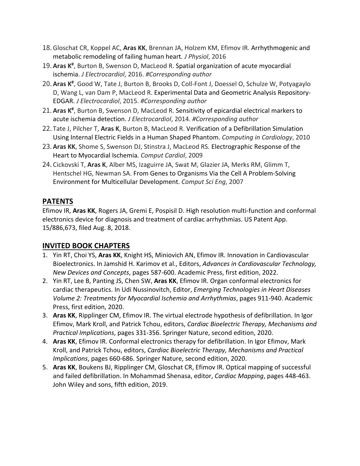- 18.Gloschat CR, Koppel AC, **Aras KK**, Brennan JA, Holzem KM, Efimov IR. Arrhythmogenic and metabolic remodeling of failing human heart*. J Physiol*, 2016
- 19. Aras K<sup>#</sup>, Burton B, Swenson D, MacLeod R. Spatial organization of acute myocardial ischemia. *J Electrocardiol*, 2016. *#Corresponding author*
- 20. **Aras K#** , Good W, Tate J, Burton B, Brooks D, Coll-Font J, Doessel O, Schulze W, Potyagaylo D, Wang L, van Dam P, MacLeod R. Experimental Data and Geometric Analysis Repository-EDGAR. *J Electrocardiol*, 2015. *#Corresponding author*
- 21. Aras K<sup>#</sup>, Burton B, Swenson D, MacLeod R. Sensitivity of epicardial electrical markers to acute ischemia detection. *J Electrocardiol*, 2014. *#Corresponding author*
- 22. Tate J, Pilcher T, **Aras K**, Burton B, MacLeod R. Verification of a Defibrillation Simulation Using Internal Electric Fields in a Human Shaped Phantom. *Computing in Cardiology*, 2010
- 23. **Aras KK**, Shome S, Swenson DJ, Stinstra J, MacLeod RS. Electrographic Response of the Heart to Myocardial Ischemia*. Comput Cardiol*, 2009
- 24. Cickovski T, **Aras K**, Alber MS, Izaguirre JA, Swat M, Glazier JA, Merks RM, Glimm T, Hentschel HG, Newman SA. From Genes to Organisms Via the Cell A Problem-Solving Environment for Multicellular Development. *Comput Sci Eng*, 2007

## **PATENTS**

Efimov IR, **Aras KK**, Rogers JA, Gremi E, Pospisil D. High resolution multi-function and conformal electronics device for diagnosis and treatment of cardiac arrhythmias. US Patent App. 15/886,673, filed Aug. 8, 2018.

#### **INVITED BOOK CHAPTERS**

- 1. Yin RT, Choi YS, **Aras KK**, Knight HS, Miniovich AN, Efimov IR. Innovation in Cardiovascular Bioelectronics. In Jamshid H. Karimov et al., Editors, *Advances in Cardiovascular Technology, New Devices and Concepts*, pages 587-600. Academic Press, first edition, 2022.
- 2. Yin RT, Lee B, Panting JS, Chen SW, **Aras KK**, Efimov IR. Organ conformal electronics for cardiac therapeutics. In Udi Nussinovitch, Editor, *Emerging Technologies in Heart Diseases Volume 2: Treatments for Myocardial Ischemia and Arrhythmias*, pages 911-940. Academic Press, first edition, 2020.
- 3. **Aras KK**, Ripplinger CM, Efimov IR. The virtual electrode hypothesis of defibrillation. In Igor Efimov, Mark Kroll, and Patrick Tchou, editors, *Cardiac Bioelectric Therapy, Mechanisms and Practical Implications*, pages 331-356. Springer Nature, second edition, 2020.
- 4. **Aras KK**, Efimov IR. Conformal electronics therapy for defibrillation. In Igor Efimov, Mark Kroll, and Patrick Tchou, editors, *Cardiac Bioelectric Therapy, Mechanisms and Practical Implications*, pages 660-686. Springer Nature, second edition, 2020.
- 5. **Aras KK**, Boukens BJ, Ripplinger CM, Gloschat CR, Efimov IR. Optical mapping of successful and failed defibrillation. In Mohammad Shenasa, editor, *Cardiac Mapping*, pages 448-463. John Wiley and sons, fifth edition, 2019.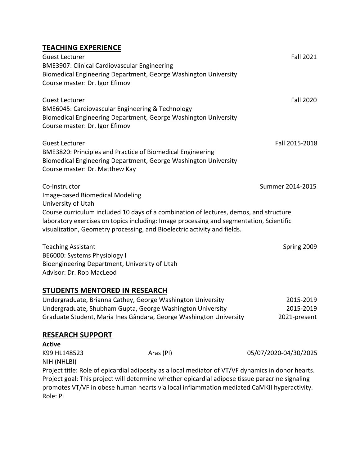## **TEACHING EXPERIENCE**

| Guest Lecturer<br><b>BME3907: Clinical Cardiovascular Engineering</b>                                                                                                                                                                                        | <b>Fall 2021</b> |
|--------------------------------------------------------------------------------------------------------------------------------------------------------------------------------------------------------------------------------------------------------------|------------------|
| Biomedical Engineering Department, George Washington University<br>Course master: Dr. Igor Efimov                                                                                                                                                            |                  |
| <b>Guest Lecturer</b><br>BME6045: Cardiovascular Engineering & Technology<br>Biomedical Engineering Department, George Washington University<br>Course master: Dr. Igor Efimov                                                                               | <b>Fall 2020</b> |
| <b>Guest Lecturer</b><br>BME3820: Principles and Practice of Biomedical Engineering<br>Biomedical Engineering Department, George Washington University<br>Course master: Dr. Matthew Kay                                                                     | Fall 2015-2018   |
| Co-Instructor<br>Image-based Biomedical Modeling<br>University of Utah                                                                                                                                                                                       | Summer 2014-2015 |
| Course curriculum included 10 days of a combination of lectures, demos, and structure<br>laboratory exercises on topics including: Image processing and segmentation, Scientific<br>visualization, Geometry processing, and Bioelectric activity and fields. |                  |
| <b>Teaching Assistant</b><br>BE6000: Systems Physiology I                                                                                                                                                                                                    | Spring 2009      |
| Bioengineering Department, University of Utah                                                                                                                                                                                                                |                  |

Advisor: Dr. Rob MacLeod

## **STUDENTS MENTORED IN RESEARCH**

| Undergraduate, Brianna Cathey, George Washington University        | 2015-2019    |
|--------------------------------------------------------------------|--------------|
| Undergraduate, Shubham Gupta, George Washington University         | 2015-2019    |
| Graduate Student, Maria Ines Gândara, George Washington University | 2021-present |

#### **RESEARCH SUPPORT**

| Active       |           |                                                                                                                                                                                               |
|--------------|-----------|-----------------------------------------------------------------------------------------------------------------------------------------------------------------------------------------------|
| K99 HL148523 | Aras (PI) | 05/07/2020-04/30/2025                                                                                                                                                                         |
| NIH (NHLBI)  |           |                                                                                                                                                                                               |
|              |           | Project title: Role of epicardial adiposity as a local mediator of VT/VF dynamics in donor hearts.                                                                                            |
| Role: PI     |           | Project goal: This project will determine whether epicardial adipose tissue paracrine signaling<br>promotes VT/VF in obese human hearts via local inflammation mediated CaMKII hyperactivity. |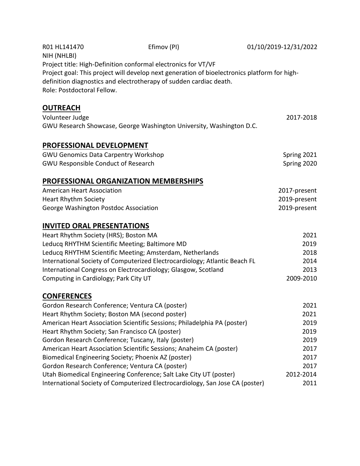| R01 HL141470<br>NIH (NHLBI)                         | Efimov (PI)                                                                                                                                                        | 01/10/2019-12/31/2022 |  |
|-----------------------------------------------------|--------------------------------------------------------------------------------------------------------------------------------------------------------------------|-----------------------|--|
|                                                     | Project title: High-Definition conformal electronics for VT/VF                                                                                                     |                       |  |
| Role: Postdoctoral Fellow.                          | Project goal: This project will develop next generation of bioelectronics platform for high-<br>definition diagnostics and electrotherapy of sudden cardiac death. |                       |  |
| <b>OUTREACH</b>                                     |                                                                                                                                                                    |                       |  |
| Volunteer Judge                                     |                                                                                                                                                                    | 2017-2018             |  |
|                                                     | GWU Research Showcase, George Washington University, Washington D.C.                                                                                               |                       |  |
| <b>PROFESSIONAL DEVELOPMENT</b>                     |                                                                                                                                                                    |                       |  |
| <b>GWU Genomics Data Carpentry Workshop</b>         |                                                                                                                                                                    | Spring 2021           |  |
| <b>GWU Responsible Conduct of Research</b>          |                                                                                                                                                                    | Spring 2020           |  |
| <b>PROFESSIONAL ORGANIZATION MEMBERSHIPS</b>        |                                                                                                                                                                    |                       |  |
| <b>American Heart Association</b>                   |                                                                                                                                                                    | 2017-present          |  |
| <b>Heart Rhythm Society</b>                         |                                                                                                                                                                    | 2019-present          |  |
| George Washington Postdoc Association               |                                                                                                                                                                    | 2019-present          |  |
| <b>INVITED ORAL PRESENTATIONS</b>                   |                                                                                                                                                                    |                       |  |
| Heart Rhythm Society (HRS); Boston MA               |                                                                                                                                                                    | 2021                  |  |
| Leducq RHYTHM Scientific Meeting; Baltimore MD      |                                                                                                                                                                    | 2019                  |  |
|                                                     | Leducq RHYTHM Scientific Meeting; Amsterdam, Netherlands                                                                                                           | 2018                  |  |
|                                                     | International Society of Computerized Electrocardiology; Atlantic Beach FL                                                                                         | 2014                  |  |
|                                                     | International Congress on Electrocardiology; Glasgow, Scotland                                                                                                     | 2013                  |  |
| Computing in Cardiology; Park City UT               |                                                                                                                                                                    | 2009-2010             |  |
| <b>CONFERENCES</b>                                  |                                                                                                                                                                    |                       |  |
| Gordon Research Conference; Ventura CA (poster)     |                                                                                                                                                                    | 2021                  |  |
| Heart Rhythm Society; Boston MA (second poster)     |                                                                                                                                                                    | 2021                  |  |
|                                                     | American Heart Association Scientific Sessions; Philadelphia PA (poster)                                                                                           | 2019                  |  |
| Heart Rhythm Society; San Francisco CA (poster)     |                                                                                                                                                                    | 2019                  |  |
| Gordon Research Conference; Tuscany, Italy (poster) |                                                                                                                                                                    | 2019                  |  |
|                                                     | American Heart Association Scientific Sessions; Anaheim CA (poster)                                                                                                | 2017                  |  |
| Biomedical Engineering Society; Phoenix AZ (poster) |                                                                                                                                                                    | 2017                  |  |
| Gordon Research Conference; Ventura CA (poster)     |                                                                                                                                                                    | 2017                  |  |
|                                                     | Utah Biomedical Engineering Conference; Salt Lake City UT (poster)                                                                                                 | 2012-2014             |  |
|                                                     | International Society of Computerized Electrocardiology, San Jose CA (poster)                                                                                      | 2011                  |  |